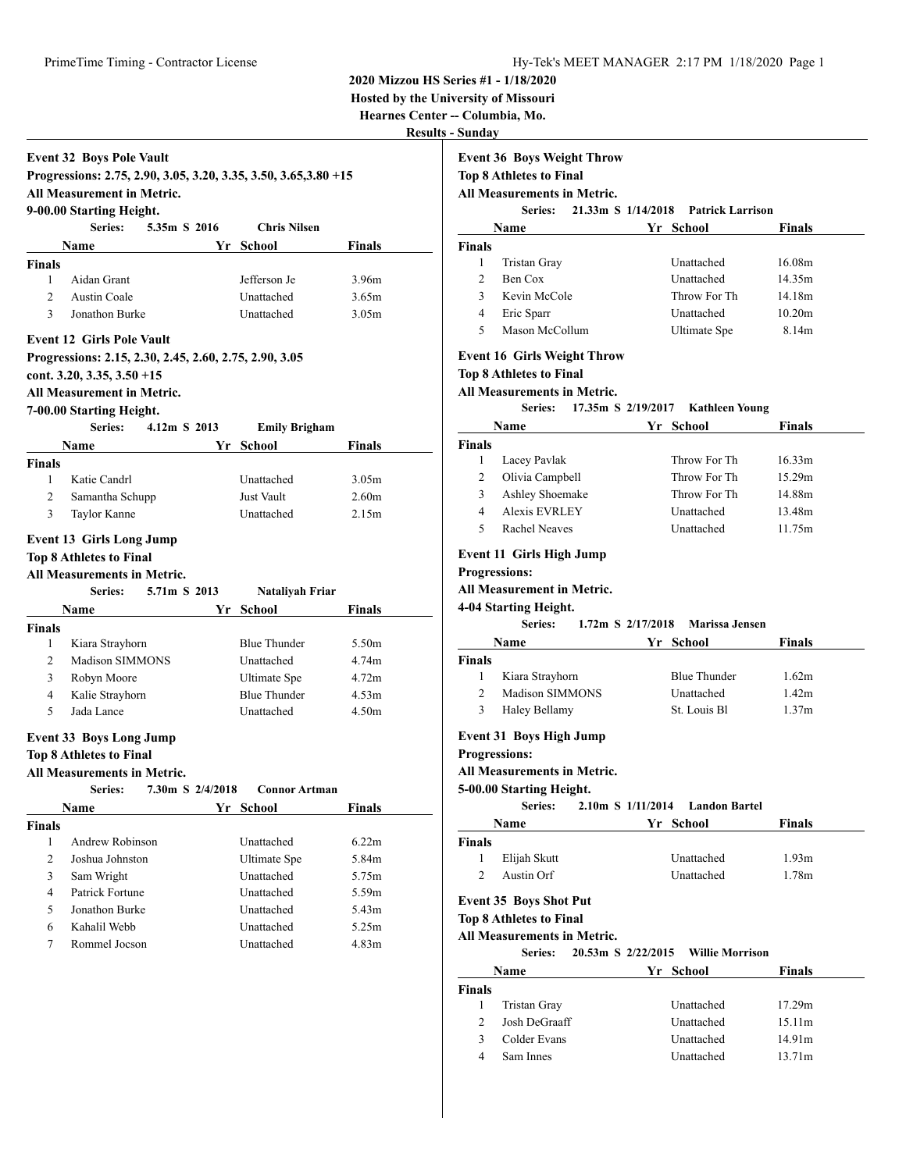**Series: 21.33m S 1/14/2018 Patrick Larrison Name Yr School Finals**

1 Tristan Gray Unattached 16.08m 2 Ben Cox Unattached 14.35m 3 Kevin McCole Throw For Th 14.18m

### **2020 Mizzou HS Series #1 - 1/18/2020**

**Hosted by the University of Missouri**

**Hearnes Center -- Columbia, Mo.**

**Results - Sunday**

**Finals**

# **Event 32 Boys Pole Vault**

**Progressions: 2.75, 2.90, 3.05, 3.20, 3.35, 3.50, 3.65,3.80 +15 All Measurement in Metric.**

# **9-00.00 Starting Height.**

|                                                                                            | Series:        | 5.35m S 2016 | <b>Chris Nilsen</b> |               |  |
|--------------------------------------------------------------------------------------------|----------------|--------------|---------------------|---------------|--|
|                                                                                            | <b>Name</b>    |              | Yr School           | <b>Finals</b> |  |
| <b>Finals</b>                                                                              |                |              |                     |               |  |
|                                                                                            | Aidan Grant    |              | Jefferson Je        | 3.96m         |  |
| $\mathcal{D}$                                                                              | Austin Coale   |              | Unattached          | 3.65m         |  |
| 3                                                                                          | Jonathon Burke |              | Unattached          | 3.05m         |  |
| <b>Event 12 Girls Pole Vault</b><br>Progressions: 2.15, 2.30, 2.45, 2.60, 2.75, 2.90, 3.05 |                |              |                     |               |  |

**cont. 3.20, 3.35, 3.50 +15**

## **All Measurement in Metric.**

|                | 7-00.00 Starting Height.           |                  |    |                      |                   |
|----------------|------------------------------------|------------------|----|----------------------|-------------------|
|                | Series:                            | 4.12m S 2013     |    | <b>Emily Brigham</b> |                   |
|                | <b>Name</b>                        |                  | Yr | <b>School</b>        | <b>Finals</b>     |
| <b>Finals</b>  |                                    |                  |    |                      |                   |
| 1              | Katie Candrl                       |                  |    | Unattached           | 3.05 <sub>m</sub> |
| $\overline{2}$ | Samantha Schupp                    |                  |    | <b>Just Vault</b>    | 2.60 <sub>m</sub> |
| 3              | Taylor Kanne                       |                  |    | Unattached           | 2.15m             |
|                | <b>Event 13 Girls Long Jump</b>    |                  |    |                      |                   |
|                | <b>Top 8 Athletes to Final</b>     |                  |    |                      |                   |
|                | <b>All Measurements in Metric.</b> |                  |    |                      |                   |
|                | Series:                            | 5.71m S 2013     |    | Nataliyah Friar      |                   |
|                | <b>Name</b>                        |                  | Yr | School               | Finals            |
| <b>Finals</b>  |                                    |                  |    |                      |                   |
| 1              | Kiara Strayhorn                    |                  |    | <b>Blue Thunder</b>  | 5.50m             |
| $\mathfrak{D}$ | Madison SIMMONS                    |                  |    | <b>Unattached</b>    | 4.74m             |
| 3              | Robyn Moore                        |                  |    | Ultimate Spe         | 4.72m             |
| 4              | Kalie Strayhorn                    |                  |    | <b>Blue Thunder</b>  | 4.53m             |
| 5              | Jada Lance                         |                  |    | Unattached           | 4.50 <sub>m</sub> |
|                | <b>Event 33 Boys Long Jump</b>     |                  |    |                      |                   |
|                | <b>Top 8 Athletes to Final</b>     |                  |    |                      |                   |
|                | <b>All Measurements in Metric.</b> |                  |    |                      |                   |
|                | Series:                            | 7.30m S 2/4/2018 |    | <b>Connor Artman</b> |                   |
|                | <b>Name</b>                        |                  |    | Yr School            | <b>Finals</b>     |
| <b>Finals</b>  |                                    |                  |    |                      |                   |
| 1              | Andrew Robinson                    |                  |    | Unattached           | 6.22m             |
| $\overline{c}$ | Joshua Johnston                    |                  |    | Ultimate Spe         | 5.84m             |
| 3              | Sam Wright                         |                  |    | Unattached           | 5.75m             |
| $\overline{4}$ | Patrick Fortune                    |                  |    | Unattached           | 5.59m             |

5 Jonathon Burke Unattached 5.43m 6 Kahalil Webb Unattached 5.25m 7 Rommel Jocson Unattached 4.83m

# 4 Eric Sparr Unattached 10.20m 5 Mason McCollum Ultimate Spe 8.14m

### **Event 16 Girls Weight Throw**

**Event 36 Boys Weight Throw Top 8 Athletes to Final All Measurements in Metric.**

### **Top 8 Athletes to Final**

# **All Measurements in Metric.**

# **Series: 17.35m S 2/19/2017 Kathleen Young**

| <b>Name</b> |                 | Yr School    | <b>Finals</b>      |
|-------------|-----------------|--------------|--------------------|
| Finals      |                 |              |                    |
|             | Lacey Pavlak    | Throw For Th | 16.33 <sub>m</sub> |
|             | Olivia Campbell | Throw For Th | 15.29m             |
|             | Ashley Shoemake | Throw For Th | 14.88m             |
| 4           | Alexis EVRLEY   | Unattached   | 13.48m             |
|             | Rachel Neaves   | Unattached   | 11.75m             |
|             |                 |              |                    |

# **Event 11 Girls High Jump**

**Progressions:**

# **All Measurement in Metric.**

**4-04 Starting Height. Series: 1.72m S 2/17/2018 Marissa Jensen**

|               | series:         | $1.72 \text{m}$ S $2/17/2018$ Marissa Jensen |               |  |
|---------------|-----------------|----------------------------------------------|---------------|--|
|               | Name            | Yr School                                    | <b>Finals</b> |  |
| <b>Finals</b> |                 |                                              |               |  |
|               | Kiara Strayhorn | <b>Blue Thunder</b>                          | 1.62m         |  |
| $\mathcal{D}$ | Madison SIMMONS | Unattached                                   | 1.42m         |  |
| 3             | Haley Bellamy   | St. Louis Bl.                                | 1.37m         |  |

# **Event 31 Boys High Jump**

**Progressions:**

## **All Measurements in Metric.**

**5-00.00 Starting Height.**

| Series: |  | $2.10m$ S $1/11/2014$ | Landon Bartel |
|---------|--|-----------------------|---------------|
|         |  |                       |               |

|               | Name                           |                    | Yr School              | <b>Finals</b>     |  |
|---------------|--------------------------------|--------------------|------------------------|-------------------|--|
| Finals        |                                |                    |                        |                   |  |
|               | Elijah Skutt                   |                    | Unattached             | 1.93 <sub>m</sub> |  |
| $\mathcal{D}$ | Austin Orf                     |                    | Unattached             | 1.78m             |  |
|               | <b>Event 35 Boys Shot Put</b>  |                    |                        |                   |  |
|               | <b>Top 8 Athletes to Final</b> |                    |                        |                   |  |
|               | All Measurements in Metric.    |                    |                        |                   |  |
|               | Series:                        | 20.53m S 2/22/2015 | <b>Willie Morrison</b> |                   |  |

| Name          |                     | Yr School  | <b>Finals</b> |  |
|---------------|---------------------|------------|---------------|--|
| <b>Finals</b> |                     |            |               |  |
|               | <b>Tristan Gray</b> | Unattached | 17.29m        |  |
| $\mathcal{D}$ | Josh DeGraaff       | Unattached | 15.11m        |  |
| 3             | Colder Evans        | Unattached | 14.91m        |  |
| 4             | Sam Innes           | Unattached | 13.71m        |  |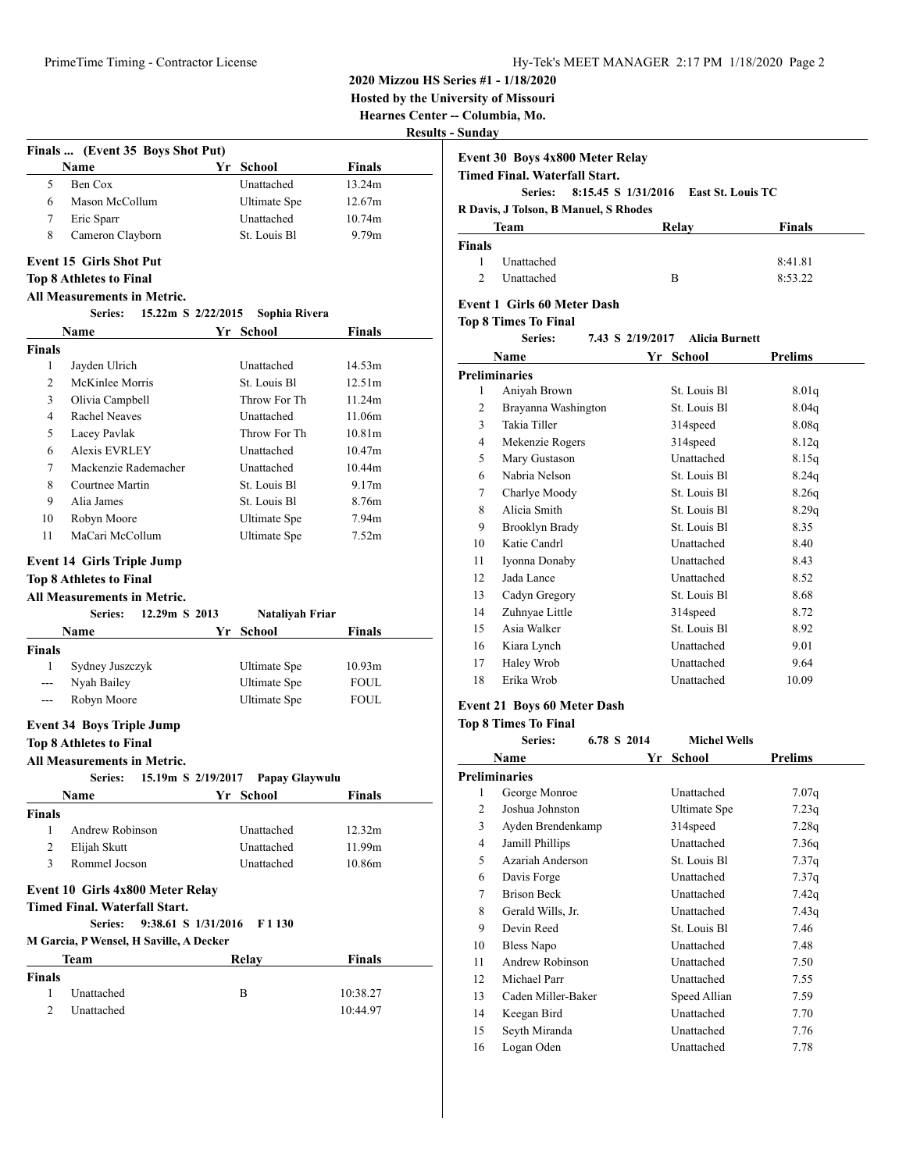**2020 Mizzou HS Series #1 - 1/18/2020**

**Hosted by the University of Missouri**

**Hearnes Center -- Columbia, Mo.**

**Results - Sunday** 

| Finals  (Event 35 Boys Shot Put)<br>Name<br>Ben Cox<br>Mason McCollum<br>Eric Sparr<br>Cameron Clayborn<br><b>Event 15 Girls Shot Put</b><br><b>Top 8 Athletes to Final</b><br><b>All Measurements in Metric.</b><br>Series: 15.22m S 2/22/2015<br>Name<br>Jayden Ulrich<br>McKinlee Morris | Yr School<br>Unattached<br>Ultimate Spe<br>Unattached<br>St. Louis Bl<br>Sophia Rivera<br>Yr School                                                                                                                                                                                                                                                                                                                                                                                                                   | Finals<br>13.24m<br>12.67m<br>10.74m<br>9.79 <sub>m</sub>                                                                                                                                                                                                                                                                                                                |
|---------------------------------------------------------------------------------------------------------------------------------------------------------------------------------------------------------------------------------------------------------------------------------------------|-----------------------------------------------------------------------------------------------------------------------------------------------------------------------------------------------------------------------------------------------------------------------------------------------------------------------------------------------------------------------------------------------------------------------------------------------------------------------------------------------------------------------|--------------------------------------------------------------------------------------------------------------------------------------------------------------------------------------------------------------------------------------------------------------------------------------------------------------------------------------------------------------------------|
|                                                                                                                                                                                                                                                                                             |                                                                                                                                                                                                                                                                                                                                                                                                                                                                                                                       |                                                                                                                                                                                                                                                                                                                                                                          |
|                                                                                                                                                                                                                                                                                             |                                                                                                                                                                                                                                                                                                                                                                                                                                                                                                                       |                                                                                                                                                                                                                                                                                                                                                                          |
|                                                                                                                                                                                                                                                                                             |                                                                                                                                                                                                                                                                                                                                                                                                                                                                                                                       |                                                                                                                                                                                                                                                                                                                                                                          |
|                                                                                                                                                                                                                                                                                             |                                                                                                                                                                                                                                                                                                                                                                                                                                                                                                                       |                                                                                                                                                                                                                                                                                                                                                                          |
|                                                                                                                                                                                                                                                                                             |                                                                                                                                                                                                                                                                                                                                                                                                                                                                                                                       |                                                                                                                                                                                                                                                                                                                                                                          |
|                                                                                                                                                                                                                                                                                             |                                                                                                                                                                                                                                                                                                                                                                                                                                                                                                                       |                                                                                                                                                                                                                                                                                                                                                                          |
|                                                                                                                                                                                                                                                                                             |                                                                                                                                                                                                                                                                                                                                                                                                                                                                                                                       |                                                                                                                                                                                                                                                                                                                                                                          |
|                                                                                                                                                                                                                                                                                             |                                                                                                                                                                                                                                                                                                                                                                                                                                                                                                                       |                                                                                                                                                                                                                                                                                                                                                                          |
|                                                                                                                                                                                                                                                                                             |                                                                                                                                                                                                                                                                                                                                                                                                                                                                                                                       |                                                                                                                                                                                                                                                                                                                                                                          |
|                                                                                                                                                                                                                                                                                             |                                                                                                                                                                                                                                                                                                                                                                                                                                                                                                                       |                                                                                                                                                                                                                                                                                                                                                                          |
|                                                                                                                                                                                                                                                                                             |                                                                                                                                                                                                                                                                                                                                                                                                                                                                                                                       | Finals                                                                                                                                                                                                                                                                                                                                                                   |
|                                                                                                                                                                                                                                                                                             | Unattached                                                                                                                                                                                                                                                                                                                                                                                                                                                                                                            | 14.53m                                                                                                                                                                                                                                                                                                                                                                   |
|                                                                                                                                                                                                                                                                                             | St. Louis Bl                                                                                                                                                                                                                                                                                                                                                                                                                                                                                                          | 12.51m                                                                                                                                                                                                                                                                                                                                                                   |
|                                                                                                                                                                                                                                                                                             | Throw For Th                                                                                                                                                                                                                                                                                                                                                                                                                                                                                                          |                                                                                                                                                                                                                                                                                                                                                                          |
| Olivia Campbell<br><b>Rachel Neaves</b>                                                                                                                                                                                                                                                     |                                                                                                                                                                                                                                                                                                                                                                                                                                                                                                                       | 11.24m                                                                                                                                                                                                                                                                                                                                                                   |
|                                                                                                                                                                                                                                                                                             | Unattached<br>Throw For Th                                                                                                                                                                                                                                                                                                                                                                                                                                                                                            | 11.06m<br>10.81 <sub>m</sub>                                                                                                                                                                                                                                                                                                                                             |
| Lacey Pavlak                                                                                                                                                                                                                                                                                |                                                                                                                                                                                                                                                                                                                                                                                                                                                                                                                       | 10.47m                                                                                                                                                                                                                                                                                                                                                                   |
|                                                                                                                                                                                                                                                                                             |                                                                                                                                                                                                                                                                                                                                                                                                                                                                                                                       | 10.44m                                                                                                                                                                                                                                                                                                                                                                   |
|                                                                                                                                                                                                                                                                                             |                                                                                                                                                                                                                                                                                                                                                                                                                                                                                                                       | 9.17m                                                                                                                                                                                                                                                                                                                                                                    |
|                                                                                                                                                                                                                                                                                             |                                                                                                                                                                                                                                                                                                                                                                                                                                                                                                                       | 8.76m                                                                                                                                                                                                                                                                                                                                                                    |
|                                                                                                                                                                                                                                                                                             |                                                                                                                                                                                                                                                                                                                                                                                                                                                                                                                       | 7.94m                                                                                                                                                                                                                                                                                                                                                                    |
|                                                                                                                                                                                                                                                                                             |                                                                                                                                                                                                                                                                                                                                                                                                                                                                                                                       | 7.52m                                                                                                                                                                                                                                                                                                                                                                    |
| Series:                                                                                                                                                                                                                                                                                     | Nataliyah Friar                                                                                                                                                                                                                                                                                                                                                                                                                                                                                                       |                                                                                                                                                                                                                                                                                                                                                                          |
|                                                                                                                                                                                                                                                                                             |                                                                                                                                                                                                                                                                                                                                                                                                                                                                                                                       | Finals                                                                                                                                                                                                                                                                                                                                                                   |
|                                                                                                                                                                                                                                                                                             |                                                                                                                                                                                                                                                                                                                                                                                                                                                                                                                       |                                                                                                                                                                                                                                                                                                                                                                          |
|                                                                                                                                                                                                                                                                                             |                                                                                                                                                                                                                                                                                                                                                                                                                                                                                                                       | 10.93 <sub>m</sub>                                                                                                                                                                                                                                                                                                                                                       |
|                                                                                                                                                                                                                                                                                             |                                                                                                                                                                                                                                                                                                                                                                                                                                                                                                                       | FOUL                                                                                                                                                                                                                                                                                                                                                                     |
|                                                                                                                                                                                                                                                                                             |                                                                                                                                                                                                                                                                                                                                                                                                                                                                                                                       | <b>FOUL</b>                                                                                                                                                                                                                                                                                                                                                              |
|                                                                                                                                                                                                                                                                                             |                                                                                                                                                                                                                                                                                                                                                                                                                                                                                                                       |                                                                                                                                                                                                                                                                                                                                                                          |
|                                                                                                                                                                                                                                                                                             |                                                                                                                                                                                                                                                                                                                                                                                                                                                                                                                       |                                                                                                                                                                                                                                                                                                                                                                          |
|                                                                                                                                                                                                                                                                                             |                                                                                                                                                                                                                                                                                                                                                                                                                                                                                                                       |                                                                                                                                                                                                                                                                                                                                                                          |
|                                                                                                                                                                                                                                                                                             |                                                                                                                                                                                                                                                                                                                                                                                                                                                                                                                       | Finals                                                                                                                                                                                                                                                                                                                                                                   |
|                                                                                                                                                                                                                                                                                             |                                                                                                                                                                                                                                                                                                                                                                                                                                                                                                                       |                                                                                                                                                                                                                                                                                                                                                                          |
|                                                                                                                                                                                                                                                                                             | Unattached                                                                                                                                                                                                                                                                                                                                                                                                                                                                                                            | 12.32m                                                                                                                                                                                                                                                                                                                                                                   |
|                                                                                                                                                                                                                                                                                             | Unattached                                                                                                                                                                                                                                                                                                                                                                                                                                                                                                            | 11.99m                                                                                                                                                                                                                                                                                                                                                                   |
|                                                                                                                                                                                                                                                                                             | Unattached                                                                                                                                                                                                                                                                                                                                                                                                                                                                                                            | 10.86m                                                                                                                                                                                                                                                                                                                                                                   |
|                                                                                                                                                                                                                                                                                             |                                                                                                                                                                                                                                                                                                                                                                                                                                                                                                                       |                                                                                                                                                                                                                                                                                                                                                                          |
|                                                                                                                                                                                                                                                                                             |                                                                                                                                                                                                                                                                                                                                                                                                                                                                                                                       |                                                                                                                                                                                                                                                                                                                                                                          |
|                                                                                                                                                                                                                                                                                             |                                                                                                                                                                                                                                                                                                                                                                                                                                                                                                                       |                                                                                                                                                                                                                                                                                                                                                                          |
|                                                                                                                                                                                                                                                                                             |                                                                                                                                                                                                                                                                                                                                                                                                                                                                                                                       |                                                                                                                                                                                                                                                                                                                                                                          |
|                                                                                                                                                                                                                                                                                             | Relay                                                                                                                                                                                                                                                                                                                                                                                                                                                                                                                 | <b>Finals</b>                                                                                                                                                                                                                                                                                                                                                            |
|                                                                                                                                                                                                                                                                                             |                                                                                                                                                                                                                                                                                                                                                                                                                                                                                                                       |                                                                                                                                                                                                                                                                                                                                                                          |
|                                                                                                                                                                                                                                                                                             |                                                                                                                                                                                                                                                                                                                                                                                                                                                                                                                       |                                                                                                                                                                                                                                                                                                                                                                          |
| Unattached                                                                                                                                                                                                                                                                                  | B                                                                                                                                                                                                                                                                                                                                                                                                                                                                                                                     | 10:38.27                                                                                                                                                                                                                                                                                                                                                                 |
|                                                                                                                                                                                                                                                                                             | Alexis EVRLEY<br>Mackenzie Rademacher<br>Courtnee Martin<br>Alia James<br>Robyn Moore<br>MaCari McCollum<br><b>Event 14 Girls Triple Jump</b><br><b>Top 8 Athletes to Final</b><br>All Measurements in Metric.<br>Name<br>Sydney Juszczyk<br>Nyah Bailey<br>Robyn Moore<br><b>Event 34 Boys Triple Jump</b><br><b>Top 8 Athletes to Final</b><br>All Measurements in Metric.<br>Series:<br>Name<br>Andrew Robinson<br>Elijah Skutt<br>Rommel Jocson<br><b>Timed Final. Waterfall Start.</b><br><b>Series:</b><br>Team | Unattached<br><b>Unattached</b><br>St. Louis Bl<br>St. Louis Bl<br><b>Ultimate</b> Spe<br><b>Ultimate</b> Spe<br>12.29m S 2013<br>Yr School<br>Ultimate Spe<br>Ultimate Spe<br><b>Ultimate</b> Spe<br>15.19m S 2/19/2017<br>Papay Glaywulu<br>Yr School<br>Event 10 Girls 4x800 Meter Relay<br>9:38.61 S 1/31/2016<br>F 1 130<br>M Garcia, P Wensel, H Saville, A Decker |

| Event 30 Boys 4x800 Meter Relay |  |  |
|---------------------------------|--|--|
|                                 |  |  |

**Timed Final. Waterfall Start.**

**Series: 8:15.45 S 1/31/2016 East St. Louis TC**

**R Davis, J Tolson, B Manuel, S Rhodes**

| Team          |            | Relay | <b>Finals</b> |
|---------------|------------|-------|---------------|
| <b>Finals</b> |            |       |               |
| L             | Unattached |       | 8:41.81       |
| $\mathcal{D}$ | Unattached | B     | 8:53.22       |

# **Event 1 Girls 60 Meter Dash**

**Top 8 Times To Final**

**Series: 7.43 S 2/19/2017 Alicia Burnett**

| Name |                       | Yr | <b>School</b>        | Prelims |
|------|-----------------------|----|----------------------|---------|
|      | <b>Preliminaries</b>  |    |                      |         |
| 1    | Aniyah Brown          |    | St. Louis Bl         | 8.01q   |
| 2    | Brayanna Washington   |    | St. Louis Bl         | 8.04q   |
| 3    | Takia Tiller          |    | 314 <sub>speed</sub> | 8.08q   |
| 4    | Mekenzie Rogers       |    | 314speed             | 8.12q   |
| 5    | Mary Gustason         |    | Unattached           | 8.15q   |
| 6    | Nabria Nelson         |    | St. Louis Bl         | 8.24q   |
| 7    | Charlye Moody         |    | St. Louis Bl.        | 8.26q   |
| 8    | Alicia Smith          |    | St. Louis Bl         | 8.29q   |
| 9    | <b>Brooklyn Brady</b> |    | St. Louis Bl         | 8.35    |
| 10   | Katie Candrl          |    | Unattached           | 8.40    |
| 11   | Iyonna Donaby         |    | Unattached           | 8.43    |
| 12   | Jada Lance            |    | Unattached           | 8.52    |
| 13   | Cadyn Gregory         |    | St. Louis Bl         | 8.68    |
| 14   | Zuhnyae Little        |    | 314 <sub>speed</sub> | 8.72    |
| 15   | Asia Walker           |    | St. Louis Bl.        | 8.92    |
| 16   | Kiara Lynch           |    | Unattached           | 9.01    |
| 17   | Haley Wrob            |    | Unattached           | 9.64    |
| 18   | Erika Wrob            |    | Unattached           | 10.09   |
|      |                       |    |                      |         |

# **Event 21 Boys 60 Meter Dash**

**Top 8 Times To Final Series: 6.78 S 2014 Michel Wells**

| Series:<br>6.78 \$ 2014 |    | Michel Wells         |                |
|-------------------------|----|----------------------|----------------|
| Name                    | Yr | <b>School</b>        | <b>Prelims</b> |
| <b>Preliminaries</b>    |    |                      |                |
| George Monroe           |    | Unattached           | 7.07q          |
| Joshua Johnston         |    | Ultimate Spe         | 7.23q          |
| Ayden Brendenkamp       |    | 314 <sub>speed</sub> | 7.28q          |
| Jamill Phillips         |    | Unattached           | 7.36q          |
| Azariah Anderson        |    | St. Louis Bl         | 7.37q          |
| Davis Forge             |    | Unattached           | 7.37q          |
| <b>Brison Beck</b>      |    | Unattached           | 7.42q          |
| Gerald Wills, Jr.       |    | Unattached           | 7.43q          |
| Devin Reed              |    | St. Louis Bl         | 7.46           |
| Bless Napo              |    | Unattached           | 7.48           |
| Andrew Robinson         |    | Unattached           | 7.50           |
| Michael Parr            |    | Unattached           | 7.55           |
| Caden Miller-Baker      |    | Speed Allian         | 7.59           |
| Keegan Bird             |    | Unattached           | 7.70           |
| Seyth Miranda           |    | Unattached           | 7.76           |
| Logan Oden              |    | Unattached           | 7.78           |
|                         |    |                      |                |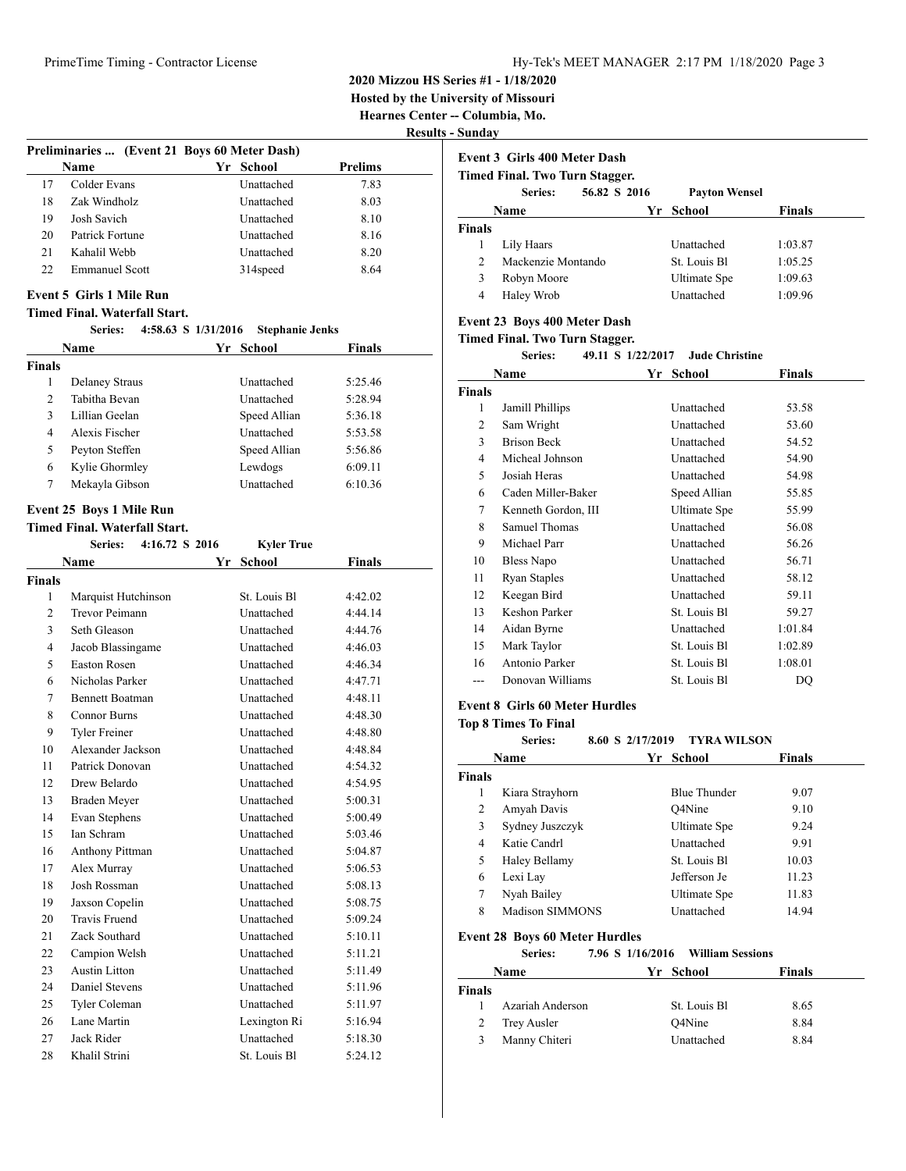**2020 Mizzou HS Series #1 - 1/18/2020**

**Hosted by the University of Missouri**

**Hearnes Center -- Columbia, Mo.**

**Results - Sunday**

|    |                       |                                              |         | . |
|----|-----------------------|----------------------------------------------|---------|---|
|    |                       | Preliminaries  (Event 21 Boys 60 Meter Dash) |         |   |
|    | Name                  | School<br>Yr '                               | Prelims |   |
| 17 | Colder Evans          | Unattached                                   | 7.83    |   |
| 18 | Zak Windholz          | <b>Unattached</b>                            | 8.03    |   |
| 19 | Josh Savich           | <b>Unattached</b>                            | 8.10    |   |
| 20 | Patrick Fortune       | Unattached                                   | 8.16    |   |
| 21 | Kahalil Webb          | Unattached                                   | 8.20    |   |
| 22 | <b>Emmanuel Scott</b> | 314 <sub>speed</sub>                         | 8.64    |   |
|    |                       |                                              |         |   |

# **Event 5 Girls 1 Mile Run**

### **Timed Final. Waterfall Start.**

### **Series: 4:58.63 S 1/31/2016 Stephanie Jenks**

|                |                                      | $1/\sqrt{1/2010}$ or $\sqrt{1/2010}$ |               |
|----------------|--------------------------------------|--------------------------------------|---------------|
|                | Name                                 | Yr School                            | Finals        |
| <b>Finals</b>  |                                      |                                      |               |
| 1              | <b>Delaney Straus</b>                | Unattached                           | 5:25.46       |
| $\overline{c}$ | Tabitha Bevan                        | Unattached                           | 5:28.94       |
| 3              | Lillian Geelan                       | Speed Allian                         | 5:36.18       |
| $\overline{4}$ | Alexis Fischer                       | Unattached                           | 5:53.58       |
| 5              | Peyton Steffen                       | Speed Allian                         | 5:56.86       |
| 6              | Kylie Ghormley                       | Lewdogs                              | 6:09.11       |
| $\tau$         | Mekayla Gibson                       | Unattached                           | 6:10.36       |
|                | <b>Event 25 Boys 1 Mile Run</b>      |                                      |               |
|                | <b>Timed Final. Waterfall Start.</b> |                                      |               |
|                | 4:16.72 S 2016<br><b>Series:</b>     | <b>Kyler True</b>                    |               |
|                | <b>Name</b>                          | Yr School                            | <b>Finals</b> |
| <b>Finals</b>  |                                      |                                      |               |
| 1              | Marquist Hutchinson                  | St. Louis Bl                         | 4:42.02       |
| $\overline{c}$ | <b>Trevor Peimann</b>                | Unattached                           | 4:44.14       |
| 3              | Seth Gleason                         | Unattached                           | 4:44.76       |
| $\overline{4}$ | Jacob Blassingame                    | Unattached                           | 4:46.03       |
| 5              | <b>Easton Rosen</b>                  | Unattached                           | 4:46.34       |
| 6              | Nicholas Parker                      | Unattached                           | 4:47.71       |
| $\tau$         | <b>Bennett Boatman</b>               | Unattached                           | 4:48.11       |
| 8              | <b>Connor Burns</b>                  | Unattached                           | 4:48.30       |
| 9              | Tyler Freiner                        | Unattached                           | 4:48.80       |
| 10             | Alexander Jackson                    | Unattached                           | 4:48.84       |
| 11             | Patrick Donovan                      | Unattached                           | 4:54.32       |
| 12             | Drew Belardo                         | Unattached                           | 4:54.95       |
| 13             | <b>Braden Meyer</b>                  | Unattached                           | 5:00.31       |
| 14             | Evan Stephens                        | Unattached                           | 5:00.49       |
| 15             | <b>Ian Schram</b>                    | Unattached                           | 5:03.46       |
| 16             | Anthony Pittman                      | Unattached                           | 5:04.87       |
| 17             | Alex Murray                          | Unattached                           | 5:06.53       |
| 18             | Josh Rossman                         | Unattached                           | 5:08.13       |
| 19             | Jaxson Copelin                       | Unattached                           | 5:08.75       |
| 20             | <b>Travis Fruend</b>                 | Unattached                           | 5:09.24       |
| 21             | Zack Southard                        | Unattached                           | 5:10.11       |
| 22             | Campion Welsh                        | Unattached                           | 5:11.21       |
| 23             | <b>Austin Litton</b>                 | Unattached                           | 5:11.49       |
| 24             | Daniel Stevens                       | Unattached                           | 5:11.96       |
| 25             | Tyler Coleman                        | Unattached                           | 5:11.97       |
| 26             | Lane Martin                          | Lexington Ri                         | 5:16.94       |
| 27             | Jack Rider                           | Unattached                           | 5:18.30       |
| 28             | Khalil Strini                        | St. Louis Bl                         | 5:24.12       |

|                | Event 3 Girls 400 Meter Dash   |              |                      |               |
|----------------|--------------------------------|--------------|----------------------|---------------|
|                | Timed Final. Two Turn Stagger. |              |                      |               |
|                | Series:                        | 56.82 S 2016 | <b>Payton Wensel</b> |               |
|                | Name                           | Yr.          | School               | <b>Finals</b> |
| <b>Finals</b>  |                                |              |                      |               |
| 1              | Lily Haars                     |              | Unattached           | 1:03.87       |
| $\mathfrak{D}$ | Mackenzie Montando             |              | St. Louis Bl.        | 1:05.25       |
| 3              | Robyn Moore                    |              | Ultimate Spe         | 1:09.63       |
| 4              | Haley Wrob                     |              | Unattached           | 1:09.96       |

# **Event 23 Boys 400 Meter Dash**

**Timed Final. Two Turn Stagger.**

|               | <b>Series:</b>      | 49.11 S 1/22/2017<br><b>Jude Christine</b> |         |
|---------------|---------------------|--------------------------------------------|---------|
|               | Name                | Yr<br>School                               | Finals  |
| <b>Finals</b> |                     |                                            |         |
| 1             | Jamill Phillips     | Unattached                                 | 53.58   |
| 2             | Sam Wright          | Unattached                                 | 53.60   |
| 3             | <b>Brison Beck</b>  | Unattached                                 | 54.52   |
| 4             | Micheal Johnson     | Unattached                                 | 54.90   |
| 5             | Josiah Heras        | Unattached                                 | 54.98   |
| 6             | Caden Miller-Baker  | Speed Allian                               | 55.85   |
| 7             | Kenneth Gordon, III | Ultimate Spe                               | 55.99   |
| 8             | Samuel Thomas       | Unattached                                 | 56.08   |
| 9             | Michael Parr        | Unattached                                 | 56.26   |
| 10            | <b>Bless Napo</b>   | Unattached                                 | 56.71   |
| 11            | <b>Ryan Staples</b> | Unattached                                 | 58.12   |
| 12            | Keegan Bird         | Unattached                                 | 59.11   |
| 13            | Keshon Parker       | St. Louis Bl                               | 59.27   |
| 14            | Aidan Byrne         | Unattached                                 | 1:01.84 |
| 15            | Mark Taylor         | St. Louis Bl                               | 1:02.89 |
| 16            | Antonio Parker      | St. Louis Bl                               | 1:08.01 |
| ---           | Donovan Williams    | St. Louis Bl                               | DQ      |

# **Event 8 Girls 60 Meter Hurdles**

**Top 8 Times To Final**

# **Series: 8.60 S 2/17/2019 TYRA WILSON**

| Name          |                 | School<br>Yr        | <b>Finals</b> |
|---------------|-----------------|---------------------|---------------|
| <b>Finals</b> |                 |                     |               |
| 1             | Kiara Strayhorn | <b>Blue Thunder</b> | 9.07          |
| 2             | Amyah Davis     | O4Nine              | 9.10          |
| 3             | Sydney Juszczyk | Ultimate Spe        | 9.24          |
| 4             | Katie Candrl    | Unattached          | 9.91          |
| 5             | Haley Bellamy   | St. Louis Bl.       | 10.03         |
| 6             | Lexi Lay        | Jefferson Je        | 11.23         |
| 7             | Nyah Bailey     | Ultimate Spe        | 11.83         |
| 8             | Madison SIMMONS | Unattached          | 14.94         |

# **Event 28 Boys 60 Meter Hurdles**

**Series: 7.96 S 1/16/2016 William Sessions**

|        | Name             | Yr School     | <b>Finals</b> |  |
|--------|------------------|---------------|---------------|--|
| Finals |                  |               |               |  |
|        | Azariah Anderson | St. Louis Bl. | 8.65          |  |
| 2      | Trey Ausler      | Q4Nine        | 8.84          |  |
|        | Manny Chiteri    | Unattached    | 8.84          |  |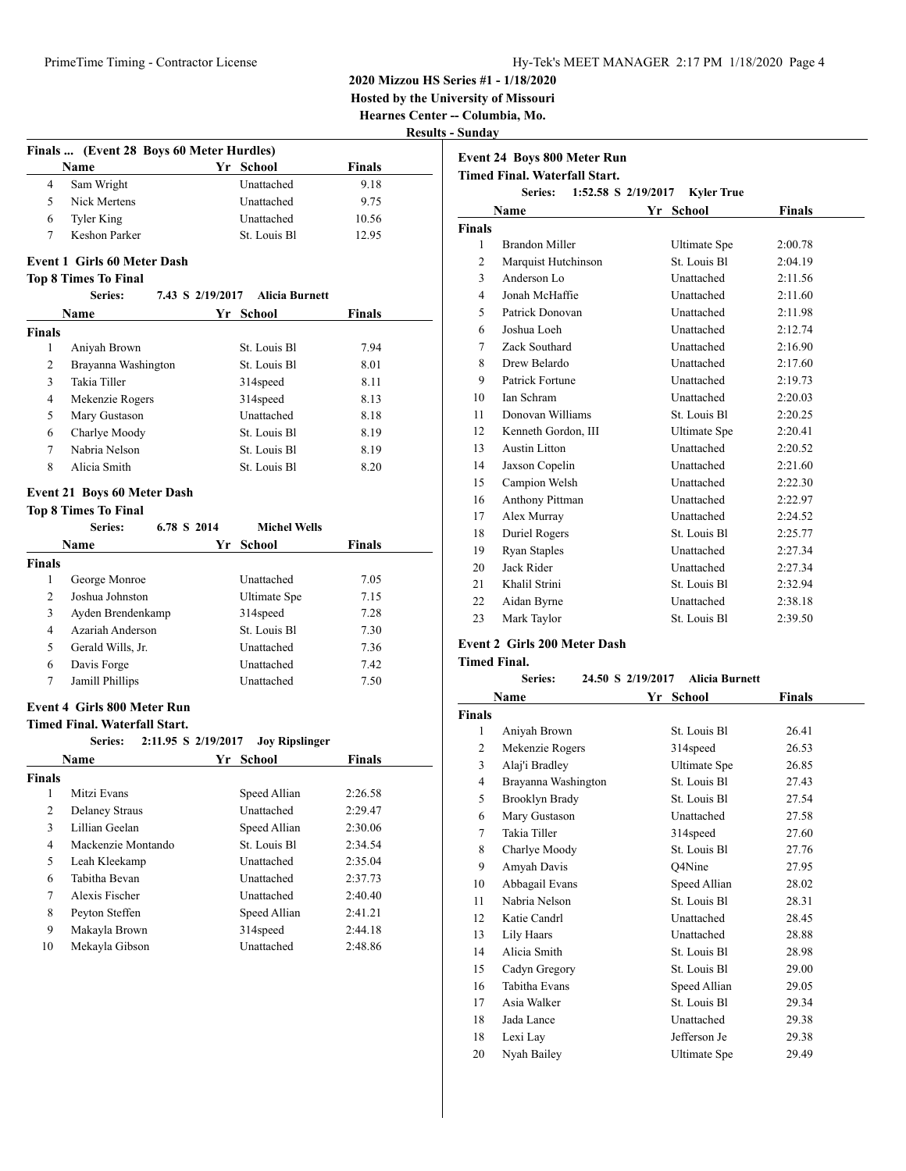**2020 Mizzou HS Series #1 - 1/18/2020**

**Hosted by the University of Missouri**

**Hearnes Center -- Columbia, Mo. Results - Sunday**

|   |                                          |              | ncəu          |  |
|---|------------------------------------------|--------------|---------------|--|
|   | Finals  (Event 28 Boys 60 Meter Hurdles) |              |               |  |
|   | Name                                     | Yr School    | <b>Finals</b> |  |
| 4 | Sam Wright                               | Unattached   | 9.18          |  |
| 5 | Nick Mertens                             | Unattached   | 9.75          |  |
| 6 | Tyler King                               | Unattached   | 10.56         |  |
|   | Keshon Parker                            | St. Louis Bl | 12.95         |  |
|   |                                          |              |               |  |

# **Event 1 Girls 60 Meter Dash**

# **Top 8 Times To Final**

|               | Series:             | 7.43 S 2/19/2017 Alicia Burnett |               |
|---------------|---------------------|---------------------------------|---------------|
|               | <b>Name</b>         | Yr School                       | <b>Finals</b> |
| <b>Finals</b> |                     |                                 |               |
| 1             | Aniyah Brown        | St. Louis Bl.                   | 7.94          |
| 2             | Brayanna Washington | St. Louis Bl.                   | 8.01          |
| 3             | Takia Tiller        | 314 <sub>speed</sub>            | 8.11          |
| 4             | Mekenzie Rogers     | 314 <sub>speed</sub>            | 8.13          |
| 5             | Mary Gustason       | Unattached                      | 8.18          |
| 6             | Charlye Moody       | St. Louis Bl                    | 8.19          |
| 7             | Nabria Nelson       | St. Louis Bl.                   | 8.19          |
| 8             | Alicia Smith        | St. Louis Bl                    | 8.20          |

# **Event 21 Boys 60 Meter Dash**

|                | <b>Top 8 Times To Final</b> |             |                      |               |
|----------------|-----------------------------|-------------|----------------------|---------------|
|                | Series:                     | 6.78 S 2014 | <b>Michel Wells</b>  |               |
|                | Name                        |             | Yr School            | <b>Finals</b> |
| <b>Finals</b>  |                             |             |                      |               |
| 1              | George Monroe               |             | Unattached           | 7.05          |
| $\mathfrak{D}$ | Joshua Johnston             |             | Ultimate Spe         | 7.15          |
| 3              | Ayden Brendenkamp           |             | 314 <sub>speed</sub> | 7.28          |
| 4              | Azariah Anderson            |             | St. Louis Bl.        | 7.30          |
| 5              | Gerald Wills, Jr.           |             | <b>Unattached</b>    | 7.36          |
| 6              | Davis Forge                 |             | <b>Unattached</b>    | 7.42          |
| 7              | Jamill Phillips             |             | <b>Unattached</b>    | 7.50          |

# **Event 4 Girls 800 Meter Run**

# **Timed Final. Waterfall Start.**

|        | 2:11.95 S 2/19/2017<br>Series: | <b>Joy Ripslinger</b> |               |
|--------|--------------------------------|-----------------------|---------------|
|        | Name                           | Yr School             | <b>Finals</b> |
| Finals |                                |                       |               |
| 1      | Mitzi Evans                    | Speed Allian          | 2:26.58       |
| 2      | <b>Delaney Straus</b>          | Unattached            | 2:29.47       |
| 3      | Lillian Geelan                 | Speed Allian          | 2:30.06       |
| 4      | Mackenzie Montando             | St. Louis Bl          | 2:34.54       |
| 5      | Leah Kleekamp                  | Unattached            | 2:35.04       |
| 6      | Tabitha Bevan                  | Unattached            | 2:37.73       |
| 7      | Alexis Fischer                 | Unattached            | 2:40.40       |
| 8      | Peyton Steffen                 | Speed Allian          | 2:41.21       |
| 9      | Makayla Brown                  | 314 <sub>speed</sub>  | 2:44.18       |
| 10     | Mekayla Gibson                 | Unattached            | 2:48.86       |

|               | <b>Event 24 Boys 800 Meter Run</b>   |                     |               |
|---------------|--------------------------------------|---------------------|---------------|
|               | <b>Timed Final, Waterfall Start.</b> |                     |               |
|               | Series:<br>1:52.58 S 2/19/2017       | <b>Kyler True</b>   |               |
|               | Name                                 | Yr<br><b>School</b> | <b>Finals</b> |
| <b>Finals</b> |                                      |                     |               |
| $\mathbf{1}$  | <b>Brandon Miller</b>                | Ultimate Spe        | 2:00.78       |
| 2             | Marquist Hutchinson                  | St. Louis Bl.       | 2:04.19       |
| 3             | Anderson Lo                          | Unattached          | 2:11.56       |
| 4             | Jonah McHaffie                       | Unattached          | 2:11.60       |
| 5             | Patrick Donovan                      | Unattached          | 2:11.98       |
| 6             | Joshua Loeh                          | <b>Unattached</b>   | 2:12.74       |
| 7             | Zack Southard                        | Unattached          | 2:16.90       |
| 8             | Drew Belardo                         | Unattached          | 2:17.60       |
| 9             | Patrick Fortune                      | <b>Unattached</b>   | 2:19.73       |
| 10            | Ian Schram                           | Unattached          | 2:20.03       |
| 11            | Donovan Williams                     | St. Louis Bl        | 2:20.25       |
| 12            | Kenneth Gordon, III                  | Ultimate Spe        | 2:20.41       |
| 13            | Austin Litton                        | Unattached          | 2:20.52       |
| 14            | Jaxson Copelin                       | Unattached          | 2:21.60       |
| 15            | Campion Welsh                        | Unattached          | 2:22.30       |
| 16            | <b>Anthony Pittman</b>               | Unattached          | 2:22.97       |
| 17            | Alex Murray                          | Unattached          | 2:24.52       |
| 18            | Duriel Rogers                        | St. Louis Bl        | 2:25.77       |
| 19            | <b>Ryan Staples</b>                  | Unattached          | 2:27.34       |
| 20            | Jack Rider                           | Unattached          | 2:27.34       |
| 21            | Khalil Strini                        | St. Louis Bl        | 2:32.94       |
| 22            | Aidan Byrne                          | Unattached          | 2:38.18       |
| 23            | Mark Taylor                          | St. Louis Bl        | 2:39.50       |

# **Event 2 Girls 200 Meter Dash**

# **Timed Final.**

| Series:     | 24.50 S 2/19/2017 Alicia Burnett |                      |  |
|-------------|----------------------------------|----------------------|--|
| <b>Name</b> | Yr School                        | <b>Finals</b>        |  |
| .           | $\sim \tau$ $\sim$ $\sim$        | $\sim$ $\sim$ $\sim$ |  |

| Finals |                       |                      |       |
|--------|-----------------------|----------------------|-------|
| 1      | Aniyah Brown          | St. Louis Bl         | 26.41 |
| 2      | Mekenzie Rogers       | 314 <sub>speed</sub> | 26.53 |
| 3      | Alaj'i Bradley        | Ultimate Spe         | 26.85 |
| 4      | Brayanna Washington   | St. Louis Bl         | 27.43 |
| 5      | <b>Brooklyn Brady</b> | St. Louis Bl         | 27.54 |
| 6      | Mary Gustason         | Unattached           | 27.58 |
| 7      | Takia Tiller          | 314 <sub>speed</sub> | 27.60 |
| 8      | Charlye Moody         | St. Louis Bl         | 27.76 |
| 9      | Amyah Davis           | O4Nine               | 27.95 |
| 10     | Abbagail Evans        | Speed Allian         | 28.02 |
| 11     | Nabria Nelson         | St. Louis Bl         | 28.31 |
| 12     | Katie Candrl          | Unattached           | 28.45 |
| 13     | Lily Haars            | Unattached           | 28.88 |
| 14     | Alicia Smith          | St. Louis Bl         | 28.98 |
| 15     | Cadyn Gregory         | St. Louis Bl         | 29.00 |
| 16     | <b>Tabitha Evans</b>  | Speed Allian         | 29.05 |
| 17     | Asia Walker           | St. Louis Bl         | 29.34 |
| 18     | Jada Lance            | Unattached           | 29.38 |
| 18     | Lexi Lay              | Jefferson Je         | 29.38 |
| 20     | Nyah Bailey           | Ultimate Spe         | 29.49 |